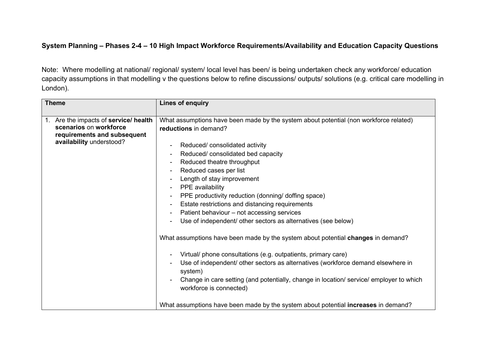## **System Planning – Phases 2-4 – 10 High Impact Workforce Requirements/Availability and Education Capacity Questions**

Note: Where modelling at national/ regional/ system/ local level has been/ is being undertaken check any workforce/ education capacity assumptions in that modelling v the questions below to refine discussions/ outputs/ solutions (e.g. critical care modelling in London).

| <b>Theme</b>                                                                                                               |  | <b>Lines of enquiry</b>                                                                                                                                                                                                                                                                                                                                                                                                                                                                                                                                                                                                                                                                                                                                                                                                                                                                                                                                                                                                                                                          |
|----------------------------------------------------------------------------------------------------------------------------|--|----------------------------------------------------------------------------------------------------------------------------------------------------------------------------------------------------------------------------------------------------------------------------------------------------------------------------------------------------------------------------------------------------------------------------------------------------------------------------------------------------------------------------------------------------------------------------------------------------------------------------------------------------------------------------------------------------------------------------------------------------------------------------------------------------------------------------------------------------------------------------------------------------------------------------------------------------------------------------------------------------------------------------------------------------------------------------------|
| 1. Are the impacts of service/ health<br>scenarios on workforce<br>requirements and subsequent<br>availability understood? |  | What assumptions have been made by the system about potential (non workforce related)<br>reductions in demand?<br>Reduced/ consolidated activity<br>Reduced/consolidated bed capacity<br>Reduced theatre throughput<br>$\blacksquare$<br>Reduced cases per list<br>$\blacksquare$<br>Length of stay improvement<br>$\blacksquare$<br>PPE availability<br>$\blacksquare$<br>PPE productivity reduction (donning/ doffing space)<br>$\overline{\phantom{a}}$<br>Estate restrictions and distancing requirements<br>$\blacksquare$<br>Patient behaviour - not accessing services<br>$\blacksquare$<br>Use of independent/ other sectors as alternatives (see below)<br>What assumptions have been made by the system about potential <b>changes</b> in demand?<br>Virtual/ phone consultations (e.g. outpatients, primary care)<br>۰<br>Use of independent/ other sectors as alternatives (workforce demand elsewhere in<br>$\overline{\phantom{a}}$<br>system)<br>Change in care setting (and potentially, change in location/service/employer to which<br>workforce is connected) |
|                                                                                                                            |  | What assumptions have been made by the system about potential <b>increases</b> in demand?                                                                                                                                                                                                                                                                                                                                                                                                                                                                                                                                                                                                                                                                                                                                                                                                                                                                                                                                                                                        |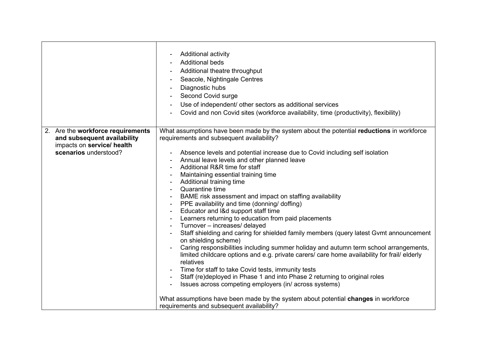|                                   | <b>Additional activity</b><br><b>Additional beds</b><br>Additional theatre throughput<br>Seacole, Nightingale Centres<br>Diagnostic hubs<br>Second Covid surge<br>Use of independent/ other sectors as additional services<br>Covid and non Covid sites (workforce availability, time (productivity), flexibility)                                                                                                                                                                                                                                                                                                                                                                                                                                                                                                                                                                                                                                                                                                                                                                                                                                                                               |
|-----------------------------------|--------------------------------------------------------------------------------------------------------------------------------------------------------------------------------------------------------------------------------------------------------------------------------------------------------------------------------------------------------------------------------------------------------------------------------------------------------------------------------------------------------------------------------------------------------------------------------------------------------------------------------------------------------------------------------------------------------------------------------------------------------------------------------------------------------------------------------------------------------------------------------------------------------------------------------------------------------------------------------------------------------------------------------------------------------------------------------------------------------------------------------------------------------------------------------------------------|
| 2. Are the workforce requirements | What assumptions have been made by the system about the potential reductions in workforce                                                                                                                                                                                                                                                                                                                                                                                                                                                                                                                                                                                                                                                                                                                                                                                                                                                                                                                                                                                                                                                                                                        |
| and subsequent availability       | requirements and subsequent availability?                                                                                                                                                                                                                                                                                                                                                                                                                                                                                                                                                                                                                                                                                                                                                                                                                                                                                                                                                                                                                                                                                                                                                        |
| impacts on service/ health        |                                                                                                                                                                                                                                                                                                                                                                                                                                                                                                                                                                                                                                                                                                                                                                                                                                                                                                                                                                                                                                                                                                                                                                                                  |
| scenarios understood?             | Absence levels and potential increase due to Covid including self isolation<br>$\blacksquare$<br>Annual leave levels and other planned leave<br>Additional R&R time for staff<br>Maintaining essential training time<br>Additional training time<br>Quarantine time<br>BAME risk assessment and impact on staffing availability<br>PPE availability and time (donning/ doffing)<br>Educator and I&d support staff time<br>Learners returning to education from paid placements<br>Turnover – increases/ delayed<br>$\blacksquare$<br>Staff shielding and caring for shielded family members (query latest Gvmt announcement<br>on shielding scheme)<br>Caring responsibilities including summer holiday and autumn term school arrangements,<br>limited childcare options and e.g. private carers/ care home availability for frail/ elderly<br>relatives<br>Time for staff to take Covid tests, immunity tests<br>Staff (re)deployed in Phase 1 and into Phase 2 returning to original roles<br>Issues across competing employers (in/across systems)<br>What assumptions have been made by the system about potential <b>changes</b> in workforce<br>requirements and subsequent availability? |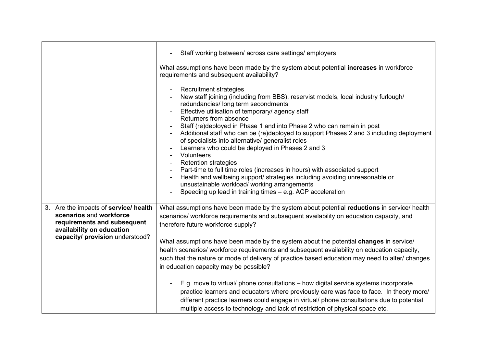|                                                                                                                                                                 | Staff working between/ across care settings/ employers<br>What assumptions have been made by the system about potential increases in workforce<br>requirements and subsequent availability?<br><b>Recruitment strategies</b><br>New staff joining (including from BBS), reservist models, local industry furlough/<br>redundancies/ long term secondments<br>Effective utilisation of temporary/ agency staff<br>Returners from absence<br>Staff (re)deployed in Phase 1 and into Phase 2 who can remain in post<br>Additional staff who can be (re)deployed to support Phases 2 and 3 including deployment<br>of specialists into alternative/ generalist roles<br>Learners who could be deployed in Phases 2 and 3<br>Volunteers<br><b>Retention strategies</b><br>Part-time to full time roles (increases in hours) with associated support<br>Health and wellbeing support/ strategies including avoiding unreasonable or<br>unsustainable workload/working arrangements<br>Speeding up lead in training times - e.g. ACP acceleration |
|-----------------------------------------------------------------------------------------------------------------------------------------------------------------|--------------------------------------------------------------------------------------------------------------------------------------------------------------------------------------------------------------------------------------------------------------------------------------------------------------------------------------------------------------------------------------------------------------------------------------------------------------------------------------------------------------------------------------------------------------------------------------------------------------------------------------------------------------------------------------------------------------------------------------------------------------------------------------------------------------------------------------------------------------------------------------------------------------------------------------------------------------------------------------------------------------------------------------------|
| 3. Are the impacts of service/ health<br>scenarios and workforce<br>requirements and subsequent<br>availability on education<br>capacity/ provision understood? | What assumptions have been made by the system about potential reductions in service/ health<br>scenarios/ workforce requirements and subsequent availability on education capacity, and<br>therefore future workforce supply?<br>What assumptions have been made by the system about the potential changes in service/<br>health scenarios/ workforce requirements and subsequent availability on education capacity,<br>such that the nature or mode of delivery of practice based education may need to alter/ changes<br>in education capacity may be possible?<br>E.g. move to virtual/ phone consultations – how digital service systems incorporate<br>practice learners and educators where previously care was face to face. In theory more/<br>different practice learners could engage in virtual/ phone consultations due to potential<br>multiple access to technology and lack of restriction of physical space etc.                                                                                                          |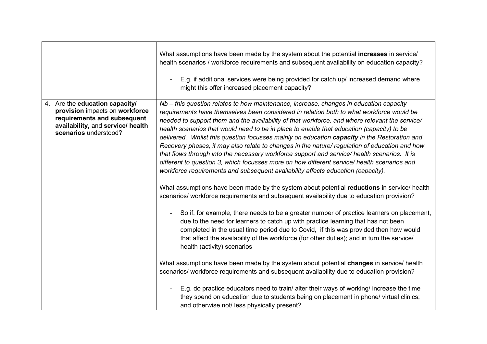|                                                                                                                                                                  | What assumptions have been made by the system about the potential increases in service/<br>health scenarios / workforce requirements and subsequent availability on education capacity?<br>E.g. if additional services were being provided for catch up/ increased demand where<br>might this offer increased placement capacity?                                                                                                                                                                                                                                                                                                                                                                                                                                                                                                                                                                                                                                                                                                                                                                                                                                                                                                                                                                                                                                                                                                                                                                                                                                                                                                                                                                                                                                                                                                                                                                     |
|------------------------------------------------------------------------------------------------------------------------------------------------------------------|-------------------------------------------------------------------------------------------------------------------------------------------------------------------------------------------------------------------------------------------------------------------------------------------------------------------------------------------------------------------------------------------------------------------------------------------------------------------------------------------------------------------------------------------------------------------------------------------------------------------------------------------------------------------------------------------------------------------------------------------------------------------------------------------------------------------------------------------------------------------------------------------------------------------------------------------------------------------------------------------------------------------------------------------------------------------------------------------------------------------------------------------------------------------------------------------------------------------------------------------------------------------------------------------------------------------------------------------------------------------------------------------------------------------------------------------------------------------------------------------------------------------------------------------------------------------------------------------------------------------------------------------------------------------------------------------------------------------------------------------------------------------------------------------------------------------------------------------------------------------------------------------------------|
| Are the education capacity/<br>4.<br>provision impacts on workforce<br>requirements and subsequent<br>availability, and service/ health<br>scenarios understood? | Nb – this question relates to how maintenance, increase, changes in education capacity<br>requirements have themselves been considered in relation both to what workforce would be<br>needed to support them and the availability of that workforce, and where relevant the service/<br>health scenarios that would need to be in place to enable that education (capacity) to be<br>delivered. Whilst this question focusses mainly on education capacity in the Restoration and<br>Recovery phases, it may also relate to changes in the nature/ regulation of education and how<br>that flows through into the necessary workforce support and service/ health scenarios. It is<br>different to question 3, which focusses more on how different service/ health scenarios and<br>workforce requirements and subsequent availability affects education (capacity).<br>What assumptions have been made by the system about potential reductions in service/ health<br>scenarios/ workforce requirements and subsequent availability due to education provision?<br>So if, for example, there needs to be a greater number of practice learners on placement,<br>due to the need for learners to catch up with practice learning that has not been<br>completed in the usual time period due to Covid, if this was provided then how would<br>that affect the availability of the workforce (for other duties); and in turn the service/<br>health (activity) scenarios<br>What assumptions have been made by the system about potential changes in service/ health<br>scenarios/ workforce requirements and subsequent availability due to education provision?<br>E.g. do practice educators need to train/ alter their ways of working/ increase the time<br>they spend on education due to students being on placement in phone/ virtual clinics;<br>and otherwise not/ less physically present? |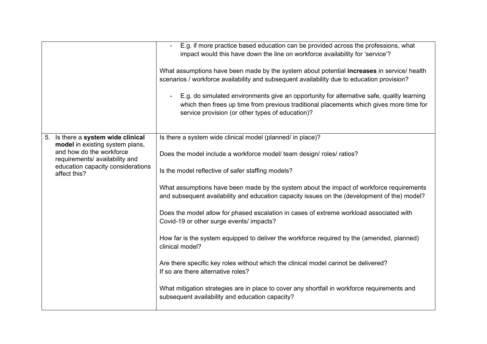|                                                            | E.g. if more practice based education can be provided across the professions, what                                                                                                                                                                         |
|------------------------------------------------------------|------------------------------------------------------------------------------------------------------------------------------------------------------------------------------------------------------------------------------------------------------------|
|                                                            | impact would this have down the line on workforce availability for 'service'?                                                                                                                                                                              |
|                                                            |                                                                                                                                                                                                                                                            |
|                                                            | What assumptions have been made by the system about potential increases in service/ health                                                                                                                                                                 |
|                                                            | scenarios / workforce availability and subsequent availability due to education provision?                                                                                                                                                                 |
|                                                            | E.g. do simulated environments give an opportunity for alternative safe, quality learning<br>$\blacksquare$<br>which then frees up time from previous traditional placements which gives more time for<br>service provision (or other types of education)? |
| 5. Is there a system wide clinical                         | Is there a system wide clinical model (planned/ in place)?                                                                                                                                                                                                 |
| model in existing system plans,                            |                                                                                                                                                                                                                                                            |
| and how do the workforce<br>requirements/ availability and | Does the model include a workforce model/ team design/ roles/ ratios?                                                                                                                                                                                      |
| education capacity considerations                          |                                                                                                                                                                                                                                                            |
| affect this?                                               | Is the model reflective of safer staffing models?                                                                                                                                                                                                          |
|                                                            | What assumptions have been made by the system about the impact of workforce requirements<br>and subsequent availability and education capacity issues on the (development of the) model?                                                                   |
|                                                            | Does the model allow for phased escalation in cases of extreme workload associated with<br>Covid-19 or other surge events/ impacts?                                                                                                                        |
|                                                            | How far is the system equipped to deliver the workforce required by the (amended, planned)<br>clinical model?                                                                                                                                              |
|                                                            | Are there specific key roles without which the clinical model cannot be delivered?<br>If so are there alternative roles?                                                                                                                                   |
|                                                            | What mitigation strategies are in place to cover any shortfall in workforce requirements and<br>subsequent availability and education capacity?                                                                                                            |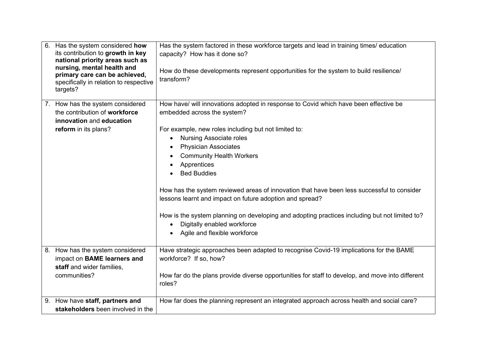| 6. | Has the system considered how<br>its contribution to growth in key<br>national priority areas such as<br>nursing, mental health and<br>primary care can be achieved,<br>specifically in relation to respective<br>targets? | Has the system factored in these workforce targets and lead in training times/ education<br>capacity? How has it done so?<br>How do these developments represent opportunities for the system to build resilience/<br>transform?                                                                                                                                                                                                                                                                                                                                                                                                                            |
|----|----------------------------------------------------------------------------------------------------------------------------------------------------------------------------------------------------------------------------|-------------------------------------------------------------------------------------------------------------------------------------------------------------------------------------------------------------------------------------------------------------------------------------------------------------------------------------------------------------------------------------------------------------------------------------------------------------------------------------------------------------------------------------------------------------------------------------------------------------------------------------------------------------|
|    | 7. How has the system considered<br>the contribution of workforce<br>innovation and education<br>reform in its plans?                                                                                                      | How have/ will innovations adopted in response to Covid which have been effective be<br>embedded across the system?<br>For example, new roles including but not limited to:<br><b>Nursing Associate roles</b><br>$\bullet$<br><b>Physician Associates</b><br><b>Community Health Workers</b><br>Apprentices<br><b>Bed Buddies</b><br>How has the system reviewed areas of innovation that have been less successful to consider<br>lessons learnt and impact on future adoption and spread?<br>How is the system planning on developing and adopting practices including but not limited to?<br>Digitally enabled workforce<br>Agile and flexible workforce |
| 8. | How has the system considered<br>impact on BAME learners and<br>staff and wider families,<br>communities?                                                                                                                  | Have strategic approaches been adapted to recognise Covid-19 implications for the BAME<br>workforce? If so, how?<br>How far do the plans provide diverse opportunities for staff to develop, and move into different<br>roles?                                                                                                                                                                                                                                                                                                                                                                                                                              |
|    | 9. How have staff, partners and<br>stakeholders been involved in the                                                                                                                                                       | How far does the planning represent an integrated approach across health and social care?                                                                                                                                                                                                                                                                                                                                                                                                                                                                                                                                                                   |